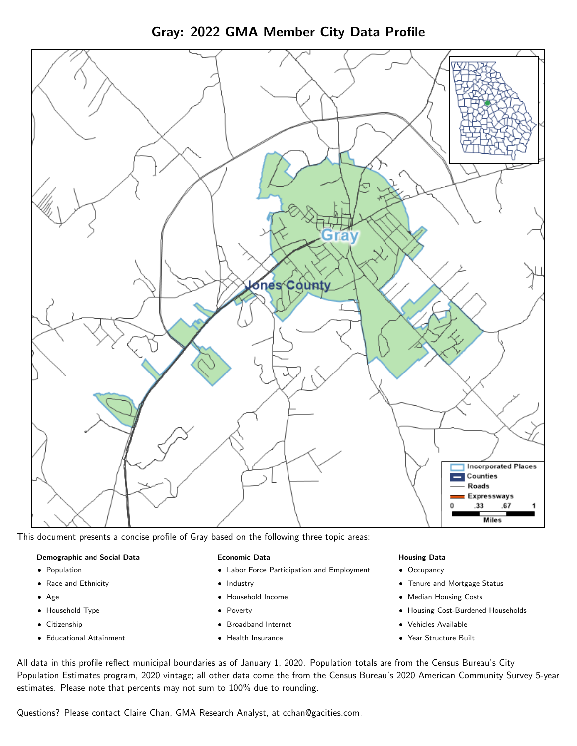



This document presents a concise profile of Gray based on the following three topic areas:

#### Demographic and Social Data

- **•** Population
- Race and Ethnicity
- Age
- Household Type
- **Citizenship**
- Educational Attainment

#### Economic Data

- Labor Force Participation and Employment
- Industry
- Household Income
- Poverty
- Broadband Internet
- Health Insurance

#### Housing Data

- Occupancy
- Tenure and Mortgage Status
- Median Housing Costs
- Housing Cost-Burdened Households
- Vehicles Available
- Year Structure Built

All data in this profile reflect municipal boundaries as of January 1, 2020. Population totals are from the Census Bureau's City Population Estimates program, 2020 vintage; all other data come the from the Census Bureau's 2020 American Community Survey 5-year estimates. Please note that percents may not sum to 100% due to rounding.

Questions? Please contact Claire Chan, GMA Research Analyst, at [cchan@gacities.com.](mailto:cchan@gacities.com)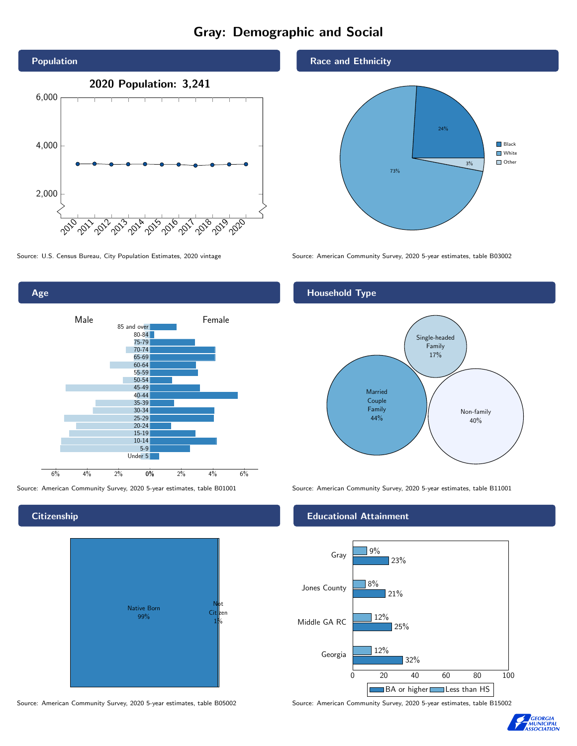# Gray: Demographic and Social





**Citizenship** 



Source: American Community Survey, 2020 5-year estimates, table B05002 Source: American Community Survey, 2020 5-year estimates, table B15002

#### Race and Ethnicity



Source: U.S. Census Bureau, City Population Estimates, 2020 vintage Source: American Community Survey, 2020 5-year estimates, table B03002

#### Household Type



Source: American Community Survey, 2020 5-year estimates, table B01001 Source: American Community Survey, 2020 5-year estimates, table B11001

#### Educational Attainment



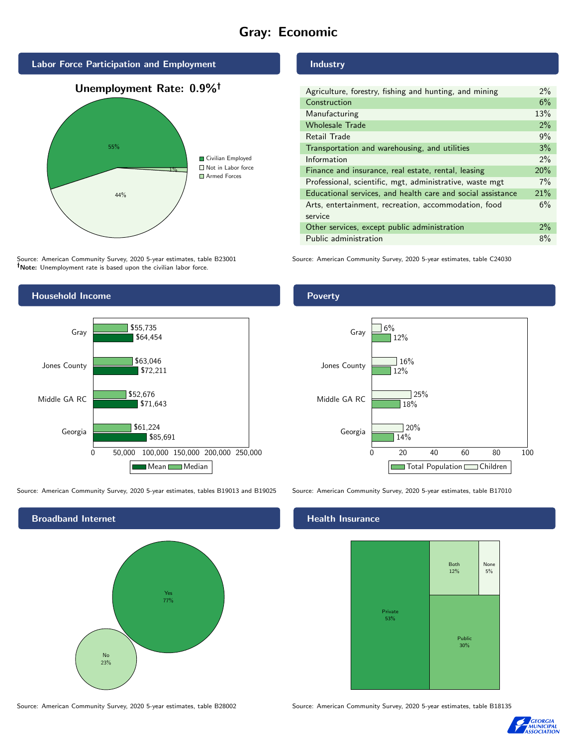# Gray: Economic



Source: American Community Survey, 2020 5-year estimates, table B23001 Note: Unemployment rate is based upon the civilian labor force.

#### Industry

| Agriculture, forestry, fishing and hunting, and mining      | 2%    |
|-------------------------------------------------------------|-------|
| Construction                                                | 6%    |
| Manufacturing                                               | 13%   |
| <b>Wholesale Trade</b>                                      | 2%    |
| <b>Retail Trade</b>                                         | 9%    |
| Transportation and warehousing, and utilities               | 3%    |
| Information                                                 | $2\%$ |
| Finance and insurance, real estate, rental, leasing         | 20%   |
| Professional, scientific, mgt, administrative, waste mgt    | 7%    |
| Educational services, and health care and social assistance | 21%   |
| Arts, entertainment, recreation, accommodation, food        | 6%    |
| service                                                     |       |
| Other services, except public administration                | 2%    |
| Public administration                                       | 8%    |

Source: American Community Survey, 2020 5-year estimates, table C24030



Source: American Community Survey, 2020 5-year estimates, tables B19013 and B19025 Source: American Community Survey, 2020 5-year estimates, table B17010

Broadband Internet No 23% Yes 77%

#### Health Insurance



Source: American Community Survey, 2020 5-year estimates, table B28002 Source: American Community Survey, 2020 5-year estimates, table B18135